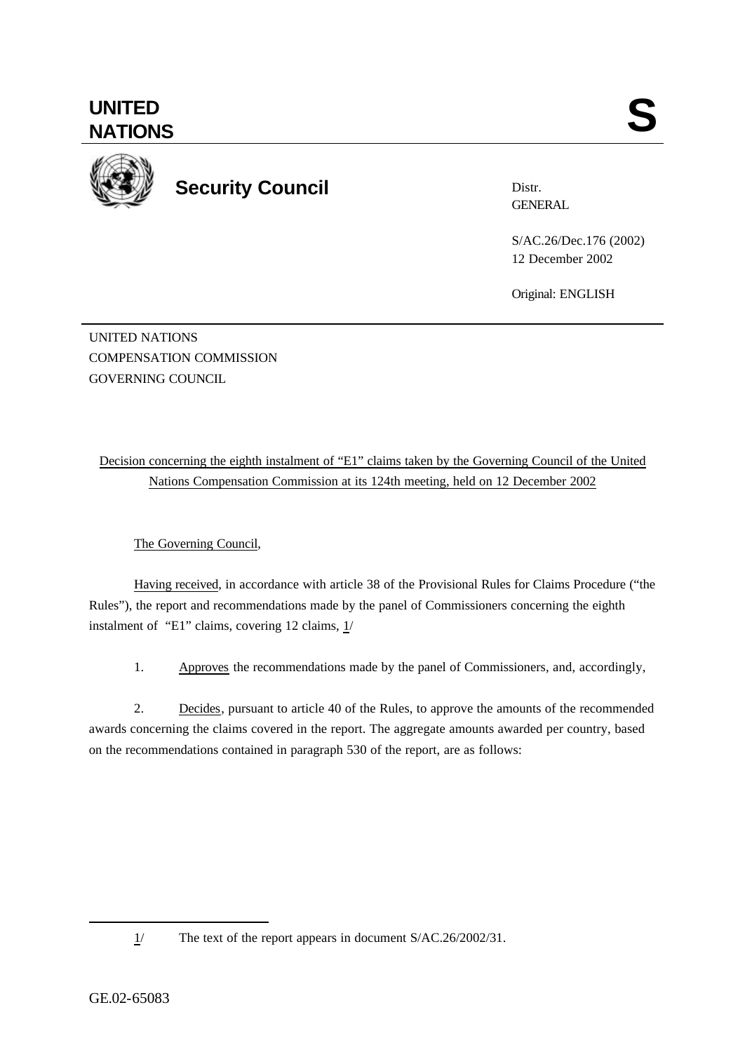**UNITED**

**Security Council**

Distr. **GENERAL** 

S/AC.26/Dec.176 (2002) 12 December 2002

Original: ENGLISH

UNITED NATIONS COMPENSATION COMMISSION GOVERNING COUNCIL

Decision concerning the eighth instalment of "E1" claims taken by the Governing Council of the United Nations Compensation Commission at its 124th meeting, held on 12 December 2002

The Governing Council,

Having received, in accordance with article 38 of the Provisional Rules for Claims Procedure ("the Rules"), the report and recommendations made by the panel of Commissioners concerning the eighth instalment of "E1" claims, covering 12 claims, 1/

1. Approves the recommendations made by the panel of Commissioners, and, accordingly,

2. Decides, pursuant to article 40 of the Rules, to approve the amounts of the recommended awards concerning the claims covered in the report. The aggregate amounts awarded per country, based on the recommendations contained in paragraph 530 of the report, are as follows:

l

<sup>1/</sup> The text of the report appears in document S/AC.26/2002/31.